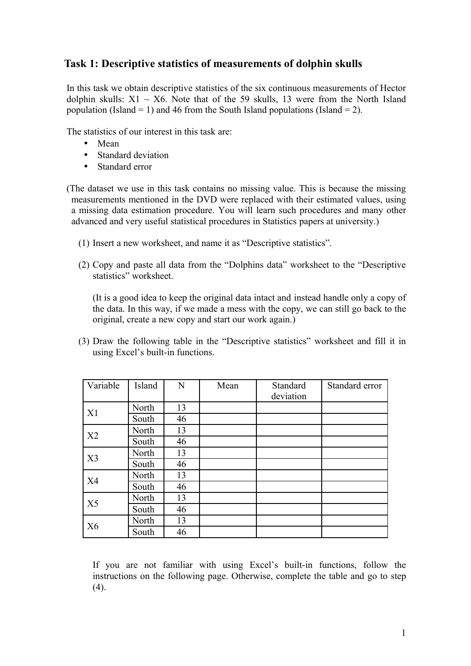## **Task 1: Descriptive statistics of measurements of dolphin skulls**

In this task we obtain descriptive statistics of the six continuous measurements of Hector dolphin skulls:  $X1 \sim X6$ . Note that of the 59 skulls, 13 were from the North Island population (Island = 1) and 46 from the South Island populations (Island = 2).

The statistics of our interest in this task are:

- Mean
- Standard deviation
- Standard error

(The dataset we use in this task contains no missing value. This is because the missing measurements mentioned in the DVD were replaced with their estimated values, using a missing data estimation procedure. You will learn such procedures and many other advanced and very useful statistical procedures in Statistics papers at university.)

- (1) Insert a new worksheet, and name it as "Descriptive statistics".
- (2) Copy and paste all data from the "Dolphins data" worksheet to the "Descriptive statistics" worksheet.

(It is a good idea to keep the original data intact and instead handle only a copy of the data. In this way, if we made a mess with the copy, we can still go back to the original, create a new copy and start our work again.)

(3) Draw the following table in the "Descriptive statistics" worksheet and fill it in using Excel's built-in functions.

| Variable       | Island | N  | Mean | Standard<br>deviation | Standard error |
|----------------|--------|----|------|-----------------------|----------------|
| X1             | North  | 13 |      |                       |                |
|                | South  | 46 |      |                       |                |
| X2             | North  | 13 |      |                       |                |
|                | South  | 46 |      |                       |                |
| X <sub>3</sub> | North  | 13 |      |                       |                |
|                | South  | 46 |      |                       |                |
| X <sub>4</sub> | North  | 13 |      |                       |                |
|                | South  | 46 |      |                       |                |
| X <sub>5</sub> | North  | 13 |      |                       |                |
|                | South  | 46 |      |                       |                |
| X6             | North  | 13 |      |                       |                |
|                | South  | 46 |      |                       |                |

If you are not familiar with using Excel's built-in functions, follow the instructions on the following page. Otherwise, complete the table and go to step  $(4)$ .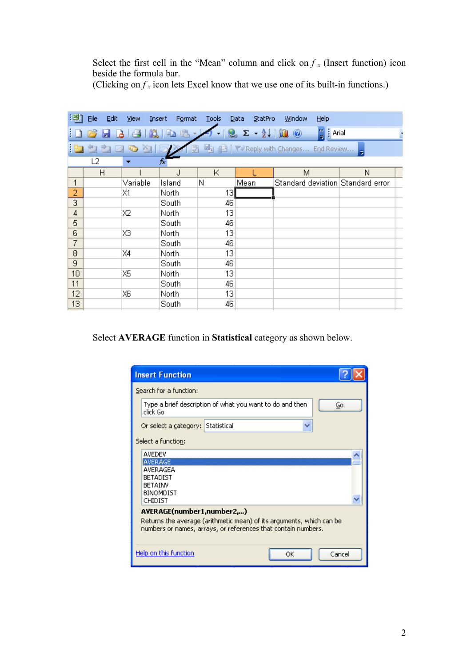Select the first cell in the "Mean" column and click on  $f_x$  (Insert function) icon beside the formula bar.

(Clicking on  $f_x$  icon lets Excel know that we use one of its built-in functions.)

| [적] | Eile<br>Edit | View              | Insert<br>Format | Tools | StatPro<br>Data                           | Window<br>Help                                    |   |
|-----|--------------|-------------------|------------------|-------|-------------------------------------------|---------------------------------------------------|---|
|     |              |                   | B<br>La          |       | $\Sigma - \frac{\Delta}{2}$   [1] $\odot$ | $\frac{1}{2}$   Arial                             |   |
|     |              | a<br>$\bullet$ al |                  |       |                                           | <b>「high dividend you with Changes End Review</b> |   |
|     | L2           |                   | fx               |       |                                           |                                                   |   |
|     | H            |                   | J                | Κ     |                                           | M                                                 | N |
| 1   |              | Variable          | Island           | Ν     | Mean                                      | Standard deviation Standard error                 |   |
| 2   |              | Х1                | North            | 13    |                                           |                                                   |   |
| 3   |              |                   | South            | 46    |                                           |                                                   |   |
| 4   |              | Х2                | North            | 13    |                                           |                                                   |   |
| 5   |              |                   | South            | 46    |                                           |                                                   |   |
| 6   |              | XЗ                | North            | 13    |                                           |                                                   |   |
| 7   |              |                   | South            | 46    |                                           |                                                   |   |
| 8   |              | X4                | North            | 13    |                                           |                                                   |   |
| 9   |              |                   | South            | 46    |                                           |                                                   |   |
| 10  |              | Χ5                | North            | 13    |                                           |                                                   |   |
| 11  |              |                   | South            | 46    |                                           |                                                   |   |
| 12  |              | XБ                | North            | 13    |                                           |                                                   |   |
| 13  |              |                   | South            | 46    |                                           |                                                   |   |
|     |              |                   |                  |       |                                           |                                                   |   |

Select **AVERAGE** function in **Statistical** category as shown below.

| <b>Insert Function</b>                                                                                                                                             |  |  |  |  |  |
|--------------------------------------------------------------------------------------------------------------------------------------------------------------------|--|--|--|--|--|
| Search for a function:                                                                                                                                             |  |  |  |  |  |
| Type a brief description of what you want to do and then<br>Go<br>click Go                                                                                         |  |  |  |  |  |
| Or select a category: Statistical                                                                                                                                  |  |  |  |  |  |
| Select a function:                                                                                                                                                 |  |  |  |  |  |
| AVEDEV<br><b>AVERAGE</b><br>AVERAGEA<br><b>BETADIST</b><br><b>BETAINV</b><br><b>BINOMDIST</b><br>CHIDIST                                                           |  |  |  |  |  |
| AVERAGE(number1,number2,)<br>Returns the average (arithmetic mean) of its arguments, which can be<br>numbers or names, arrays, or references that contain numbers. |  |  |  |  |  |
| Help on this function<br>Cancel<br>ОК                                                                                                                              |  |  |  |  |  |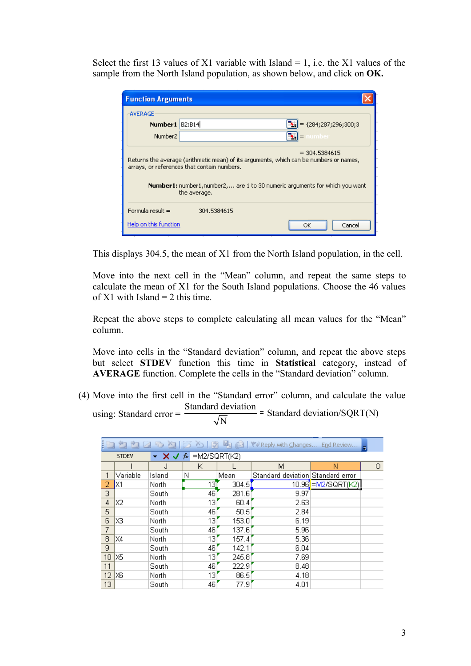Select the first 13 values of X1 variable with Island  $= 1$ , i.e. the X1 values of the sample from the North Island population, as shown below, and click on **OK.**

| <b>Function Arguments</b>                                                                                                                                                                                                                                      |                                   |  |  |  |  |  |
|----------------------------------------------------------------------------------------------------------------------------------------------------------------------------------------------------------------------------------------------------------------|-----------------------------------|--|--|--|--|--|
| <b>AVERAGE</b>                                                                                                                                                                                                                                                 |                                   |  |  |  |  |  |
| Number1   B2:B14                                                                                                                                                                                                                                               | $\mathbf{E}$ = {284;287;296;300;3 |  |  |  |  |  |
| Number <sub>2</sub>                                                                                                                                                                                                                                            | $\mathbf{E}$ = number             |  |  |  |  |  |
| $= 304.5384615$<br>Returns the average (arithmetic mean) of its arguments, which can be numbers or names,<br>arrays, or references that contain numbers.<br><b>Number1:</b> number1, number2, are 1 to 30 numeric arguments for which you want<br>the average. |                                   |  |  |  |  |  |
| Formula result =                                                                                                                                                                                                                                               | 304.5384615                       |  |  |  |  |  |
| Help on this function                                                                                                                                                                                                                                          | Cancel<br>ОK                      |  |  |  |  |  |

This displays 304.5, the mean of X1 from the North Island population, in the cell.

Move into the next cell in the "Mean" column, and repeat the same steps to calculate the mean of X1 for the South Island populations. Choose the 46 values of  $X1$  with Island = 2 this time.

Repeat the above steps to complete calculating all mean values for the "Mean" column.

Move into cells in the "Standard deviation" column, and repeat the above steps but select **STDEV** function this time in **Statistical** category, instead of **AVERAGE** function. Complete the cells in the "Standard deviation" column.

(4) Move into the first cell in the "Standard error" column, and calculate the value using: Standard error = Standard deviation N <sup>=</sup> Standard deviation/SQRT(N)

|                 | $\sim$ <b>X <math>\sim</math> <math>\kappa</math></b> = M2/SQRT(K2)<br><b>STDEV</b> |        |     |       |                                   |                     |   |  |  |
|-----------------|-------------------------------------------------------------------------------------|--------|-----|-------|-----------------------------------|---------------------|---|--|--|
|                 |                                                                                     | . I    | Κ   |       | М                                 | Ν                   | 0 |  |  |
|                 | Variable                                                                            | Island | Ν   | Mean  | Standard deviation Standard error |                     |   |  |  |
| 2               | X1                                                                                  | North  | 13] | 304.5 |                                   | 10.96 = M2/SQRT(K2) |   |  |  |
| 3               |                                                                                     | South  | 46  | 281.6 | 9.97                              |                     |   |  |  |
| 4               | X2                                                                                  | North  | 131 | 60.4  | 2.63                              |                     |   |  |  |
| 5               |                                                                                     | South  | 46  | 50.5  | 2.84                              |                     |   |  |  |
| 6               | XЗ                                                                                  | North  | 13  | 153.0 | 6.19                              |                     |   |  |  |
| 7               |                                                                                     | South  | 46  | 137.6 | 5.96                              |                     |   |  |  |
| 8               | X4                                                                                  | North  | 13  | 157.4 | 5.36                              |                     |   |  |  |
| 9               |                                                                                     | South  | 46  | 142.1 | 6.04                              |                     |   |  |  |
| 10 <sup>1</sup> | X5                                                                                  | North  | 13  | 245.8 | 7.69                              |                     |   |  |  |
| 11              |                                                                                     | South  | 46  | 222.9 | 8.48                              |                     |   |  |  |
| 12 <sub>2</sub> | IXG.                                                                                | North  | 13. | 86.5  | 4.18                              |                     |   |  |  |
| 13              |                                                                                     | South  | 46  | 77.9  | 4.01                              |                     |   |  |  |